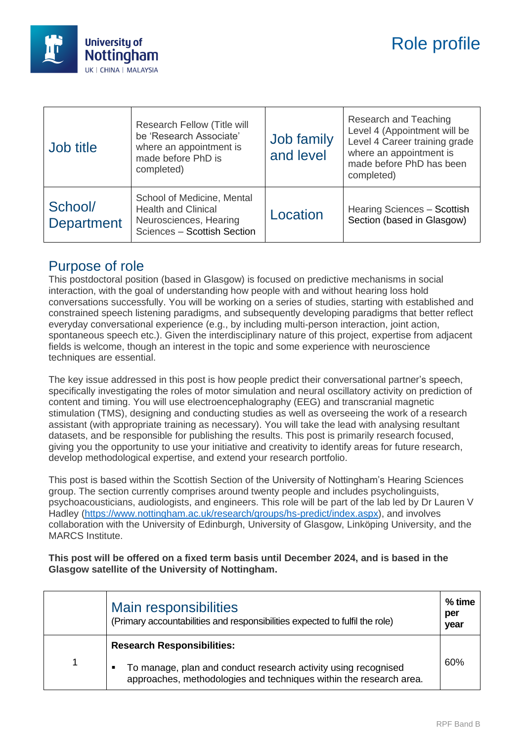

| Job title                    | Research Fellow (Title will<br>be 'Research Associate'<br>where an appointment is<br>made before PhD is<br>completed) | Job family<br>and level | Research and Teaching<br>Level 4 (Appointment will be<br>Level 4 Career training grade<br>where an appointment is<br>made before PhD has been<br>completed) |
|------------------------------|-----------------------------------------------------------------------------------------------------------------------|-------------------------|-------------------------------------------------------------------------------------------------------------------------------------------------------------|
| School/<br><b>Department</b> | School of Medicine, Mental<br><b>Health and Clinical</b><br>Neurosciences, Hearing<br>Sciences - Scottish Section     | Location                | Hearing Sciences - Scottish<br>Section (based in Glasgow)                                                                                                   |

#### Purpose of role

This postdoctoral position (based in Glasgow) is focused on predictive mechanisms in social interaction, with the goal of understanding how people with and without hearing loss hold conversations successfully. You will be working on a series of studies, starting with established and constrained speech listening paradigms, and subsequently developing paradigms that better reflect everyday conversational experience (e.g., by including multi-person interaction, joint action, spontaneous speech etc.). Given the interdisciplinary nature of this project, expertise from adjacent fields is welcome, though an interest in the topic and some experience with neuroscience techniques are essential.

The key issue addressed in this post is how people predict their conversational partner's speech, specifically investigating the roles of motor simulation and neural oscillatory activity on prediction of content and timing. You will use electroencephalography (EEG) and transcranial magnetic stimulation (TMS), designing and conducting studies as well as overseeing the work of a research assistant (with appropriate training as necessary). You will take the lead with analysing resultant datasets, and be responsible for publishing the results. This post is primarily research focused, giving you the opportunity to use your initiative and creativity to identify areas for future research, develop methodological expertise, and extend your research portfolio.

This post is based within the Scottish Section of the University of Nottingham's Hearing Sciences group. The section currently comprises around twenty people and includes psycholinguists, psychoacousticians, audiologists, and engineers. This role will be part of the lab led by Dr Lauren V Hadley [\(https://www.nottingham.ac.uk/research/groups/hs-predict/index.aspx\)](https://www.nottingham.ac.uk/research/groups/hs-predict/index.aspx), and involves collaboration with the University of Edinburgh, University of Glasgow, Linköping University, and the MARCS Institute.

#### **This post will be offered on a fixed term basis until December 2024, and is based in the Glasgow satellite of the University of Nottingham.**

|  | Main responsibilities<br>(Primary accountabilities and responsibilities expected to fulfil the role)                                      | % time<br>per<br>year |
|--|-------------------------------------------------------------------------------------------------------------------------------------------|-----------------------|
|  | <b>Research Responsibilities:</b>                                                                                                         |                       |
|  | To manage, plan and conduct research activity using recognised<br>п<br>approaches, methodologies and techniques within the research area. | 60%                   |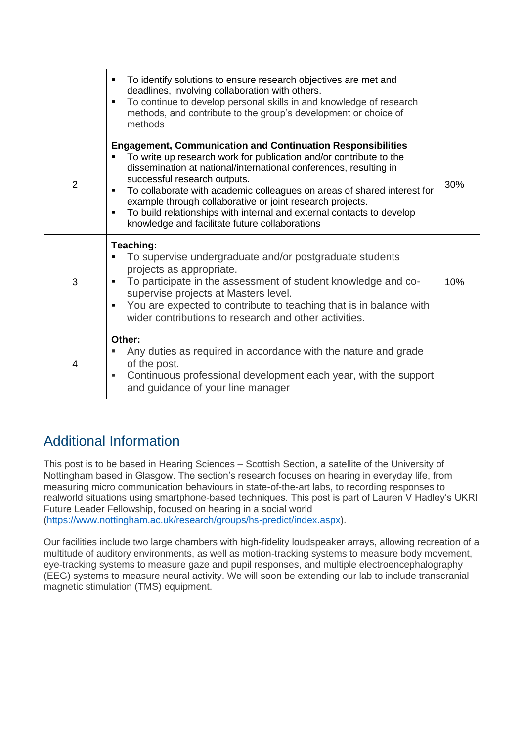|                | To identify solutions to ensure research objectives are met and<br>deadlines, involving collaboration with others.<br>To continue to develop personal skills in and knowledge of research<br>٠<br>methods, and contribute to the group's development or choice of<br>methods                                                                                                                                                                                                                                               |     |
|----------------|----------------------------------------------------------------------------------------------------------------------------------------------------------------------------------------------------------------------------------------------------------------------------------------------------------------------------------------------------------------------------------------------------------------------------------------------------------------------------------------------------------------------------|-----|
| $\overline{2}$ | <b>Engagement, Communication and Continuation Responsibilities</b><br>To write up research work for publication and/or contribute to the<br>dissemination at national/international conferences, resulting in<br>successful research outputs.<br>To collaborate with academic colleagues on areas of shared interest for<br>٠<br>example through collaborative or joint research projects.<br>To build relationships with internal and external contacts to develop<br>٠<br>knowledge and facilitate future collaborations | 30% |
| 3              | Teaching:<br>To supervise undergraduate and/or postgraduate students<br>projects as appropriate.<br>To participate in the assessment of student knowledge and co-<br>supervise projects at Masters level.<br>You are expected to contribute to teaching that is in balance with<br>$\blacksquare$<br>wider contributions to research and other activities.                                                                                                                                                                 | 10% |
| 4              | Other:<br>Any duties as required in accordance with the nature and grade<br>of the post.<br>Continuous professional development each year, with the support<br>٠<br>and guidance of your line manager                                                                                                                                                                                                                                                                                                                      |     |

# Additional Information

This post is to be based in Hearing Sciences – Scottish Section, a satellite of the University of Nottingham based in Glasgow. The section's research focuses on hearing in everyday life, from measuring micro communication behaviours in state-of-the-art labs, to recording responses to realworld situations using smartphone-based techniques. This post is part of Lauren V Hadley's UKRI Future Leader Fellowship, focused on hearing in a social world [\(https://www.nottingham.ac.uk/research/groups/hs-predict/index.aspx\)](https://www.nottingham.ac.uk/research/groups/hs-predict/index.aspx).

Our facilities include two large chambers with high-fidelity loudspeaker arrays, allowing recreation of a multitude of auditory environments, as well as motion-tracking systems to measure body movement, eye-tracking systems to measure gaze and pupil responses, and multiple electroencephalography (EEG) systems to measure neural activity. We will soon be extending our lab to include transcranial magnetic stimulation (TMS) equipment.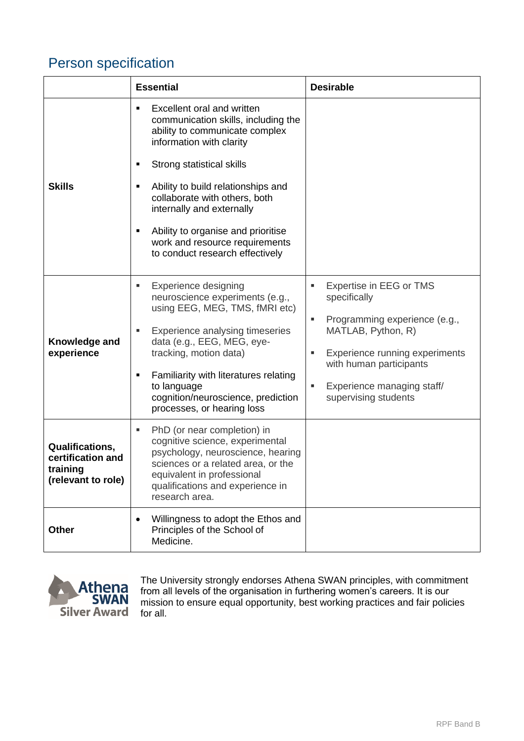## Person specification

|                                                                               | <b>Essential</b>                                                                                                                                                                                                                                                                                                                                                                                | <b>Desirable</b>                                                                                                                                                                                                                        |
|-------------------------------------------------------------------------------|-------------------------------------------------------------------------------------------------------------------------------------------------------------------------------------------------------------------------------------------------------------------------------------------------------------------------------------------------------------------------------------------------|-----------------------------------------------------------------------------------------------------------------------------------------------------------------------------------------------------------------------------------------|
| <b>Skills</b>                                                                 | Excellent oral and written<br>٠<br>communication skills, including the<br>ability to communicate complex<br>information with clarity<br>Strong statistical skills<br>٠<br>Ability to build relationships and<br>٠<br>collaborate with others, both<br>internally and externally<br>Ability to organise and prioritise<br>٠<br>work and resource requirements<br>to conduct research effectively |                                                                                                                                                                                                                                         |
| Knowledge and<br>experience                                                   | <b>Experience designing</b><br>ш<br>neuroscience experiments (e.g.,<br>using EEG, MEG, TMS, fMRI etc)<br>Experience analysing timeseries<br>ш<br>data (e.g., EEG, MEG, eye-<br>tracking, motion data)<br>Familiarity with literatures relating<br>٠<br>to language<br>cognition/neuroscience, prediction<br>processes, or hearing loss                                                          | Expertise in EEG or TMS<br>g,<br>specifically<br>Programming experience (e.g.,<br>٠<br>MATLAB, Python, R)<br>Experience running experiments<br>g,<br>with human participants<br>Experience managing staff/<br>П<br>supervising students |
| <b>Qualifications,</b><br>certification and<br>training<br>(relevant to role) | PhD (or near completion) in<br>ш<br>cognitive science, experimental<br>psychology, neuroscience, hearing<br>sciences or a related area, or the<br>equivalent in professional<br>qualifications and experience in<br>research area.                                                                                                                                                              |                                                                                                                                                                                                                                         |
| <b>Other</b>                                                                  | Willingness to adopt the Ethos and<br>Principles of the School of<br>Medicine.                                                                                                                                                                                                                                                                                                                  |                                                                                                                                                                                                                                         |



The University strongly endorses Athena SWAN principles, with commitment from all levels of the organisation in furthering women's careers. It is our mission to ensure equal opportunity, best working practices and fair policies for all.